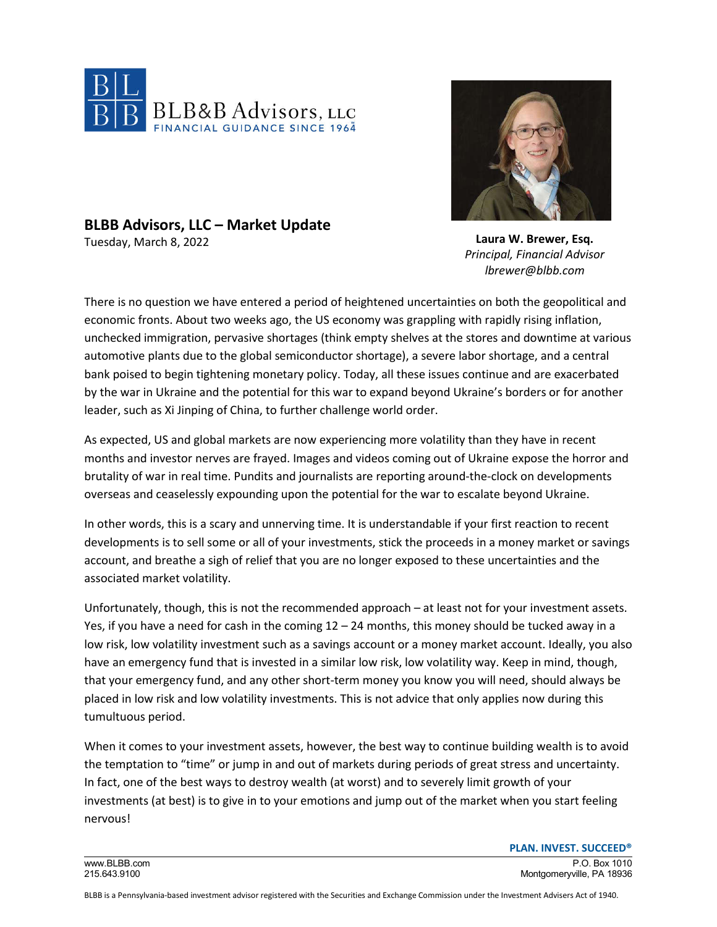



## **BLBB Advisors, LLC – Market Update**

Tuesday, March 8, 2022

**Laura W. Brewer, Esq.** *Principal, Financial Advisor lbrewer@blbb.com*

There is no question we have entered a period of heightened uncertainties on both the geopolitical and economic fronts. About two weeks ago, the US economy was grappling with rapidly rising inflation, unchecked immigration, pervasive shortages (think empty shelves at the stores and downtime at various automotive plants due to the global semiconductor shortage), a severe labor shortage, and a central bank poised to begin tightening monetary policy. Today, all these issues continue and are exacerbated by the war in Ukraine and the potential for this war to expand beyond Ukraine's borders or for another leader, such as Xi Jinping of China, to further challenge world order.

As expected, US and global markets are now experiencing more volatility than they have in recent months and investor nerves are frayed. Images and videos coming out of Ukraine expose the horror and brutality of war in real time. Pundits and journalists are reporting around-the-clock on developments overseas and ceaselessly expounding upon the potential for the war to escalate beyond Ukraine.

In other words, this is a scary and unnerving time. It is understandable if your first reaction to recent developments is to sell some or all of your investments, stick the proceeds in a money market or savings account, and breathe a sigh of relief that you are no longer exposed to these uncertainties and the associated market volatility.

Unfortunately, though, this is not the recommended approach – at least not for your investment assets. Yes, if you have a need for cash in the coming  $12 - 24$  months, this money should be tucked away in a low risk, low volatility investment such as a savings account or a money market account. Ideally, you also have an emergency fund that is invested in a similar low risk, low volatility way. Keep in mind, though, that your emergency fund, and any other short-term money you know you will need, should always be placed in low risk and low volatility investments. This is not advice that only applies now during this tumultuous period.

When it comes to your investment assets, however, the best way to continue building wealth is to avoid the temptation to "time" or jump in and out of markets during periods of great stress and uncertainty. In fact, one of the best ways to destroy wealth (at worst) and to severely limit growth of your investments (at best) is to give in to your emotions and jump out of the market when you start feeling nervous!

**PLAN. INVEST. SUCCEED®**

www.BLBB.com P.O. Box 1010 215.643.9100 Montgomeryville, PA 18936